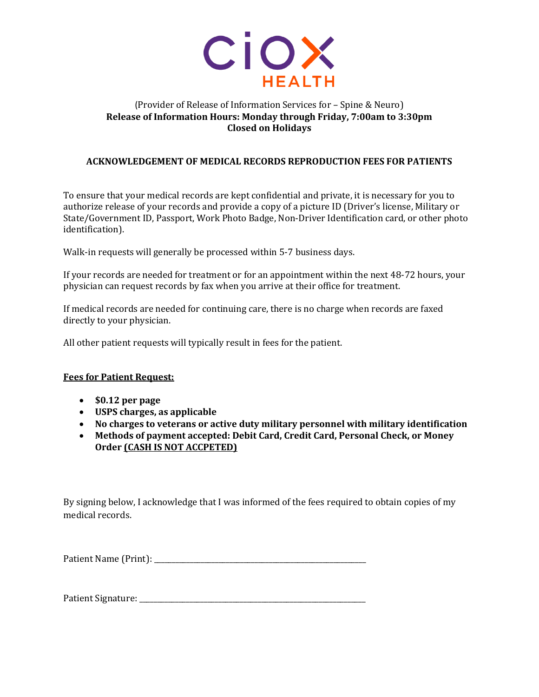

## (Provider of Release of Information Services for – Spine & Neuro) **Release of Information Hours: Monday through Friday, 7:00am to 3:30pm Closed on Holidays**

## **ACKNOWLEDGEMENT OF MEDICAL RECORDS REPRODUCTION FEES FOR PATIENTS**

To ensure that your medical records are kept confidential and private, it is necessary for you to authorize release of your records and provide a copy of a picture ID (Driver's license, Military or State/Government ID, Passport, Work Photo Badge, Non-Driver Identification card, or other photo identification).

Walk-in requests will generally be processed within 5-7 business days.

If your records are needed for treatment or for an appointment within the next 48-72 hours, your physician can request records by fax when you arrive at their office for treatment.

If medical records are needed for continuing care, there is no charge when records are faxed directly to your physician.

All other patient requests will typically result in fees for the patient.

## **Fees for Patient Request:**

- **\$0.12 per page**
- **USPS charges, as applicable**
- **No charges to veterans or active duty military personnel with military identification**
- **Methods of payment accepted: Debit Card, Credit Card, Personal Check, or Money Order (CASH IS NOT ACCPETED)**

By signing below, I acknowledge that I was informed of the fees required to obtain copies of my medical records.

Patient Name (Print): \_\_\_\_\_\_\_\_\_\_\_\_\_\_\_\_\_\_\_\_\_\_\_\_\_\_\_\_\_\_\_\_\_\_\_\_\_\_\_\_\_\_\_\_\_\_\_\_\_\_\_\_\_\_\_\_\_\_\_

Patient Signature: \_\_\_\_\_\_\_\_\_\_\_\_\_\_\_\_\_\_\_\_\_\_\_\_\_\_\_\_\_\_\_\_\_\_\_\_\_\_\_\_\_\_\_\_\_\_\_\_\_\_\_\_\_\_\_\_\_\_\_\_\_\_\_